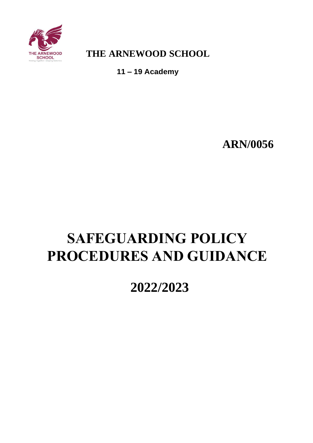<span id="page-0-0"></span>

**THE ARNEWOOD SCHOOL**

**11 – 19 Academy**

**ARN/0056**

# <span id="page-0-1"></span>**SAFEGUARDING POLICY PROCEDURES AND GUIDANCE**

**2022/2023**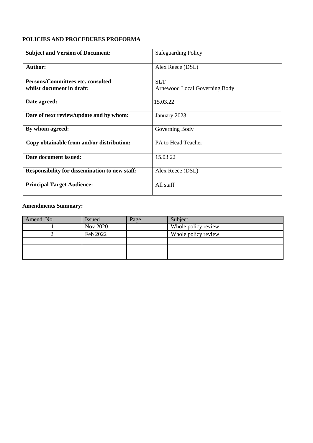# <span id="page-1-0"></span>**POLICIES AND PROCEDURES PROFORMA**

| <b>Subject and Version of Document:</b>               | <b>Safeguarding Policy</b>    |
|-------------------------------------------------------|-------------------------------|
| <b>Author:</b>                                        | Alex Reece (DSL)              |
| Persons/Committees etc. consulted                     | <b>SLT</b>                    |
| whilst document in draft:                             | Arnewood Local Governing Body |
| Date agreed:                                          | 15.03.22                      |
| Date of next review/update and by whom:               | January 2023                  |
| By whom agreed:                                       | Governing Body                |
| Copy obtainable from and/or distribution:             | PA to Head Teacher            |
| Date document issued:                                 | 15.03.22                      |
| <b>Responsibility for dissemination to new staff:</b> | Alex Reece (DSL)              |
| <b>Principal Target Audience:</b>                     | All staff                     |

# **Amendments Summary:**

| Amend. No. | <b>Issued</b>   | Page | Subject             |
|------------|-----------------|------|---------------------|
|            | <b>Nov 2020</b> |      | Whole policy review |
|            | Feb 2022        |      | Whole policy review |
|            |                 |      |                     |
|            |                 |      |                     |
|            |                 |      |                     |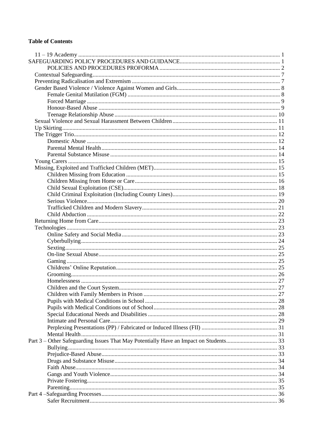# **Table of Contents**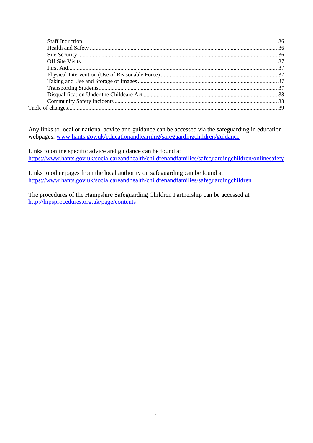Any links to local or national advice and guidance can be accessed via the safeguarding in education webpages: [www.hants.gov.uk/educationandlearning/safeguardingchildren/guidance](http://www.hants.gov.uk/educationandlearning/safeguardingchildren/guidance)

Links to online specific advice and guidance can be found at <https://www.hants.gov.uk/socialcareandhealth/childrenandfamilies/safeguardingchildren/onlinesafety>

Links to other pages from the local authority on safeguarding can be found at <https://www.hants.gov.uk/socialcareandhealth/childrenandfamilies/safeguardingchildren>

The procedures of the Hampshire Safeguarding Children Partnership can be accessed at <http://hipsprocedures.org.uk/page/contents>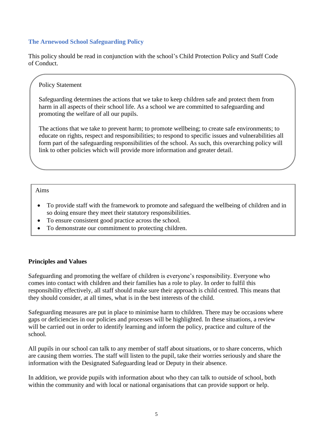# **The Arnewood School Safeguarding Policy**

This policy should be read in conjunction with the school's Child Protection Policy and Staff Code of Conduct.

### Policy Statement

Safeguarding determines the actions that we take to keep children safe and protect them from harm in all aspects of their school life. As a school we are committed to safeguarding and promoting the welfare of all our pupils.

The actions that we take to prevent harm; to promote wellbeing; to create safe environments; to educate on rights, respect and responsibilities; to respond to specific issues and vulnerabilities all form part of the safeguarding responsibilities of the school. As such, this overarching policy will link to other policies which will provide more information and greater detail.

### Aims

- To provide staff with the framework to promote and safeguard the wellbeing of children and in so doing ensure they meet their statutory responsibilities.
- To ensure consistent good practice across the school.
- To demonstrate our commitment to protecting children.

# **Principles and Values**

Safeguarding and promoting the welfare of children is everyone's responsibility. Everyone who comes into contact with children and their families has a role to play. In order to fulfil this responsibility effectively, all staff should make sure their approach is child centred. This means that they should consider, at all times, what is in the best interests of the child.

Safeguarding measures are put in place to minimise harm to children. There may be occasions where gaps or deficiencies in our policies and processes will be highlighted. In these situations, a review will be carried out in order to identify learning and inform the policy, practice and culture of the school.

All pupils in our school can talk to any member of staff about situations, or to share concerns, which are causing them worries. The staff will listen to the pupil, take their worries seriously and share the information with the Designated Safeguarding lead or Deputy in their absence.

In addition, we provide pupils with information about who they can talk to outside of school, both within the community and with local or national organisations that can provide support or help.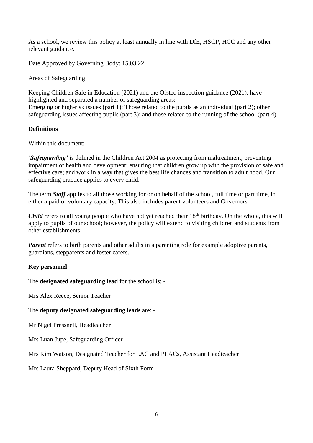As a school, we review this policy at least annually in line with DfE, HSCP, HCC and any other relevant guidance.

Date Approved by Governing Body: 15.03.22

Areas of Safeguarding

Keeping Children Safe in Education (2021) and the Ofsted inspection guidance (2021), have highlighted and separated a number of safeguarding areas: - Emerging or high-risk issues (part 1); Those related to the pupils as an individual (part 2); other safeguarding issues affecting pupils (part 3); and those related to the running of the school (part 4).

# **Definitions**

Within this document:

'*Safeguarding'* is defined in the Children Act 2004 as protecting from maltreatment; preventing impairment of health and development; ensuring that children grow up with the provision of safe and effective care; and work in a way that gives the best life chances and transition to adult hood. Our safeguarding practice applies to every child.

The term *Staff* applies to all those working for or on behalf of the school, full time or part time, in either a paid or voluntary capacity. This also includes parent volunteers and Governors.

*Child* refers to all young people who have not yet reached their 18<sup>th</sup> birthday. On the whole, this will apply to pupils of our school; however, the policy will extend to visiting children and students from other establishments.

*Parent* refers to birth parents and other adults in a parenting role for example adoptive parents, guardians, stepparents and foster carers.

# **Key personnel**

The **designated safeguarding lead** for the school is: -

Mrs Alex Reece, Senior Teacher

# The **deputy designated safeguarding leads** are: -

Mr Nigel Pressnell, Headteacher

Mrs Luan Jupe, Safeguarding Officer

Mrs Kim Watson, Designated Teacher for LAC and PLACs, Assistant Headteacher

Mrs Laura Sheppard, Deputy Head of Sixth Form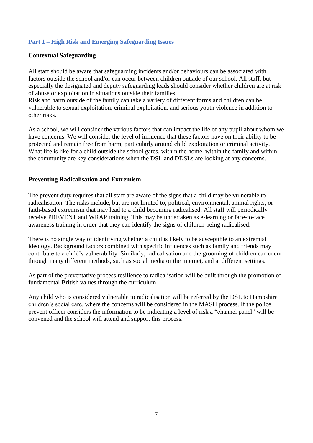# **Part 1 – High Risk and Emerging Safeguarding Issues**

### <span id="page-6-0"></span>**Contextual Safeguarding**

All staff should be aware that safeguarding incidents and/or behaviours can be associated with factors outside the school and/or can occur between children outside of our school. All staff, but especially the designated and deputy safeguarding leads should consider whether children are at risk of abuse or exploitation in situations outside their families.

Risk and harm outside of the family can take a variety of different forms and children can be vulnerable to sexual exploitation, criminal exploitation, and serious youth violence in addition to other risks.

As a school, we will consider the various factors that can impact the life of any pupil about whom we have concerns. We will consider the level of influence that these factors have on their ability to be protected and remain free from harm, particularly around child exploitation or criminal activity. What life is like for a child outside the school gates, within the home, within the family and within the community are key considerations when the DSL and DDSLs are looking at any concerns.

### <span id="page-6-1"></span>**Preventing Radicalisation and Extremism**

The prevent duty requires that all staff are aware of the signs that a child may be vulnerable to radicalisation. The risks include, but are not limited to, political, environmental, animal rights, or faith-based extremism that may lead to a child becoming radicalised. All staff will periodically receive PREVENT and WRAP training. This may be undertaken as e-learning or face-to-face awareness training in order that they can identify the signs of children being radicalised.

There is no single way of identifying whether a child is likely to be susceptible to an extremist ideology. Background factors combined with specific influences such as family and friends may contribute to a child's vulnerability. Similarly, radicalisation and the grooming of children can occur through many different methods, such as social media or the internet, and at different settings.

As part of the preventative process resilience to radicalisation will be built through the promotion of fundamental British values through the curriculum.

Any child who is considered vulnerable to radicalisation will be referred by the DSL to Hampshire children's social care, where the concerns will be considered in the MASH process. If the police prevent officer considers the information to be indicating a level of risk a "channel panel" will be convened and the school will attend and support this process.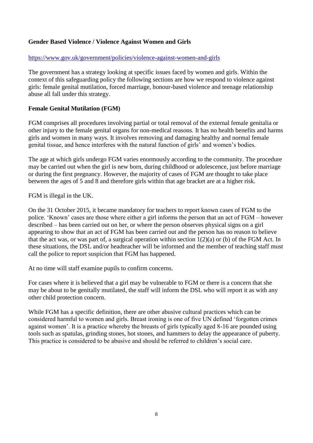# <span id="page-7-0"></span>**Gender Based Violence / Violence Against Women and Girls**

#### <https://www.gov.uk/government/policies/violence-against-women-and-girls>

The government has a strategy looking at specific issues faced by women and girls. Within the context of this safeguarding policy the following sections are how we respond to violence against girls: female genital mutilation, forced marriage, honour-based violence and teenage relationship abuse all fall under this strategy.

### <span id="page-7-1"></span>**Female Genital Mutilation (FGM)**

FGM comprises all procedures involving partial or total removal of the external female genitalia or other injury to the female genital organs for non-medical reasons. It has no health benefits and harms girls and women in many ways. It involves removing and damaging healthy and normal female genital tissue, and hence interferes with the natural function of girls' and women's bodies.

The age at which girls undergo FGM varies enormously according to the community. The procedure may be carried out when the girl is new born, during childhood or adolescence, just before marriage or during the first pregnancy. However, the majority of cases of FGM are thought to take place between the ages of 5 and 8 and therefore girls within that age bracket are at a higher risk.

FGM is illegal in the UK.

On the 31 October 2015, it became mandatory for teachers to report known cases of FGM to the police. 'Known' cases are those where either a girl informs the person that an act of FGM – however described – has been carried out on her, or where the person observes physical signs on a girl appearing to show that an act of FGM has been carried out and the person has no reason to believe that the act was, or was part of, a surgical operation within section  $1(2)(a)$  or (b) of the FGM Act. In these situations, the DSL and/or headteacher will be informed and the member of teaching staff must call the police to report suspicion that FGM has happened.

At no time will staff examine pupils to confirm concerns.

For cases where it is believed that a girl may be vulnerable to FGM or there is a concern that she may be about to be genitally mutilated, the staff will inform the DSL who will report it as with any other child protection concern.

While FGM has a specific definition, there are other abusive cultural practices which can be considered harmful to women and girls. Breast ironing is one of five UN defined 'forgotten crimes against women'. It is a practice whereby the breasts of girls typically aged 8-16 are pounded using tools such as spatulas, grinding stones, hot stones, and hammers to delay the appearance of puberty. This practice is considered to be abusive and should be referred to children's social care.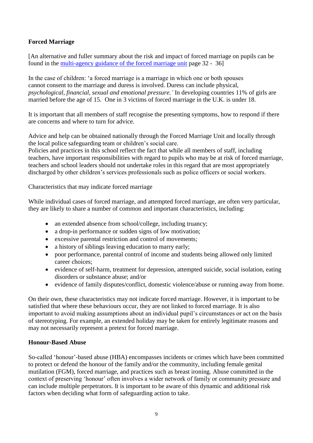# <span id="page-8-0"></span>**Forced Marriage**

[An alternative and fuller summary about the risk and impact of forced marriage on pupils can be found in the [multi-agency guidance of the forced marriage unit](https://assets.publishing.service.gov.uk/government/uploads/system/uploads/attachment_data/file/322307/HMG_MULTI_AGENCY_PRACTICE_GUIDELINES_v1_180614_FINAL.pdf) page 32 - 36]

In the case of children: 'a forced marriage is a marriage in which one or both spouses cannot consent to the marriage and duress is involved. Duress can include physical, *psychological, financial, sexual and emotional pressure.'* In developing countries 11% of girls are married before the age of 15. One in 3 victims of forced marriage in the U.K. is under 18.

It is important that all members of staff recognise the presenting symptoms, how to respond if there are concerns and where to turn for advice.

Advice and help can be obtained nationally through the Forced Marriage Unit and locally through the local police safeguarding team or children's social care.

Policies and practices in this school reflect the fact that while all members of staff, including teachers, have important responsibilities with regard to pupils who may be at risk of forced marriage, teachers and school leaders should not undertake roles in this regard that are most appropriately discharged by other children's services professionals such as police officers or social workers.

Characteristics that may indicate forced marriage

While individual cases of forced marriage, and attempted forced marriage, are often very particular, they are likely to share a number of common and important characteristics, including:

- an extended absence from school/college, including truancy;
- a drop-in performance or sudden signs of low motivation;
- excessive parental restriction and control of movements;
- a history of siblings leaving education to marry early;
- poor performance, parental control of income and students being allowed only limited career choices;
- evidence of self-harm, treatment for depression, attempted suicide, social isolation, eating disorders or substance abuse; and/or
- evidence of family disputes/conflict, domestic violence/abuse or running away from home.

On their own, these characteristics may not indicate forced marriage. However, it is important to be satisfied that where these behaviours occur, they are not linked to forced marriage. It is also important to avoid making assumptions about an individual pupil's circumstances or act on the basis of stereotyping. For example, an extended holiday may be taken for entirely legitimate reasons and may not necessarily represent a pretext for forced marriage*.* 

### <span id="page-8-1"></span>**Honour-Based Abuse**

So-called 'honour'-based abuse (HBA) encompasses incidents or crimes which have been committed to protect or defend the honour of the family and/or the community, including female genital mutilation (FGM), forced marriage, and practices such as breast ironing. Abuse committed in the context of preserving 'honour' often involves a wider network of family or community pressure and can include multiple perpetrators. It is important to be aware of this dynamic and additional risk factors when deciding what form of safeguarding action to take.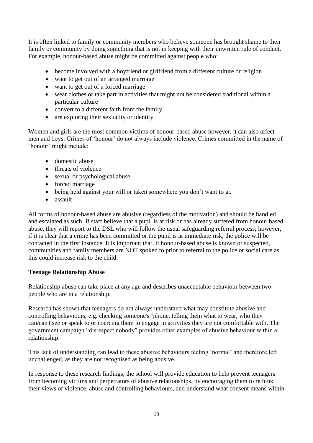It is often linked to family or community members who believe someone has brought shame to their family or community by doing something that is not in keeping with their unwritten rule of conduct. For example, honour-based abuse might be committed against people who:

- become involved with a boyfriend or girlfriend from a different culture or religion
- want to get out of an arranged marriage
- want to get out of a forced marriage
- wear clothes or take part in activities that might not be considered traditional within a particular culture
- convert to a different faith from the family
- are exploring their sexuality or identity

Women and girls are the most common victims of honour-based abuse however, it can also affect men and boys. Crimes of 'honour' do not always include violence. Crimes committed in the name of 'honour' might include:

- domestic abuse
- threats of violence
- sexual or psychological abuse
- forced marriage
- being held against your will or taken somewhere you don't want to go
- assault

All forms of honour-based abuse are abusive (regardless of the motivation) and should be handled and escalated as such. If staff believe that a pupil is at risk or has already suffered from honour based abuse, they will report to the DSL who will follow the usual safeguarding referral process; however, if it is clear that a crime has been committed or the pupil is at immediate risk, the police will be contacted in the first instance. It is important that, if honour-based abuse is known or suspected, communities and family members are NOT spoken to prior to referral to the police or social care as this could increase risk to the child.

# <span id="page-9-0"></span>**Teenage Relationship Abuse**

Relationship abuse can take place at any age and describes unacceptable behaviour between two people who are in a relationship.

Research has shown that teenagers do not always understand what may constitute abusive and controlling behaviours, e.g. checking someone's 'phone, telling them what to wear, who they can/can't see or speak to or coercing them to engage in activities they are not comfortable with. The government campaign "disrespect nobody" provides other examples of abusive behaviour within a relationship.

This lack of understanding can lead to these abusive behaviours feeling 'normal' and therefore left unchallenged, as they are not recognised as being abusive.

In response to these research findings, the school will provide education to help prevent teenagers from becoming victims and perpetrators of abusive relationships, by encouraging them to rethink their views of violence, abuse and controlling behaviours, and understand what consent means within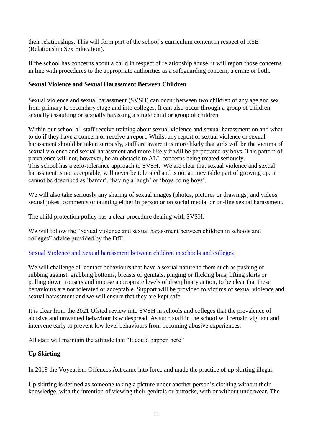their relationships. This will form part of the school's curriculum content in respect of RSE (Relationship Sex Education).

If the school has concerns about a child in respect of relationship abuse, it will report those concerns in line with procedures to the appropriate authorities as a safeguarding concern, a crime or both.

# <span id="page-10-0"></span>**Sexual Violence and Sexual Harassment Between Children**

Sexual violence and sexual harassment (SVSH) can occur between two children of any age and sex from primary to secondary stage and into colleges. It can also occur through a group of children sexually assaulting or sexually harassing a single child or group of children.

Within our school all staff receive training about sexual violence and sexual harassment on and what to do if they have a concern or receive a report. Whilst any report of sexual violence or sexual harassment should be taken seriously, staff are aware it is more likely that girls will be the victims of sexual violence and sexual harassment and more likely it will be perpetrated by boys. This pattern of prevalence will not, however, be an obstacle to ALL concerns being treated seriously. This school has a zero-tolerance approach to SVSH. We are clear that sexual violence and sexual harassment is not acceptable, will never be tolerated and is not an inevitable part of growing up. It cannot be described as 'banter', 'having a laugh' or 'boys being boys'.

We will also take seriously any sharing of sexual images (photos, pictures or drawings) and videos; sexual jokes, comments or taunting either in person or on social media; or on-line sexual harassment.

The child protection policy has a clear procedure dealing with SVSH.

We will follow the "Sexual violence and sexual harassment between children in schools and colleges" advice provided by the DfE.

# [Sexual Violence and Sexual harassment between children in schools and colleges](https://assets.publishing.service.gov.uk/government/uploads/system/uploads/attachment_data/file/1014224/Sexual_violence_and_sexual_harassment_between_children_in_schools_and_colleges.pdf)

We will challenge all contact behaviours that have a sexual nature to them such as pushing or rubbing against, grabbing bottoms, breasts or genitals, pinging or flicking bras, lifting skirts or pulling down trousers and impose appropriate levels of disciplinary action, to be clear that these behaviours are not tolerated or acceptable. Support will be provided to victims of sexual violence and sexual harassment and we will ensure that they are kept safe.

It is clear from the 2021 Ofsted review into SVSH in schools and colleges that the prevalence of abusive and unwanted behaviour is widespread. As such staff in the school will remain vigilant and intervene early to prevent low level behaviours from becoming abusive experiences.

All staff will maintain the attitude that "It could happen here"

# <span id="page-10-1"></span>**Up Skirting**

In 2019 the Voyeurism Offences Act came into force and made the practice of up skirting illegal.

Up skirting is defined as someone taking a picture under another person's clothing without their knowledge, with the intention of viewing their genitals or buttocks, with or without underwear. The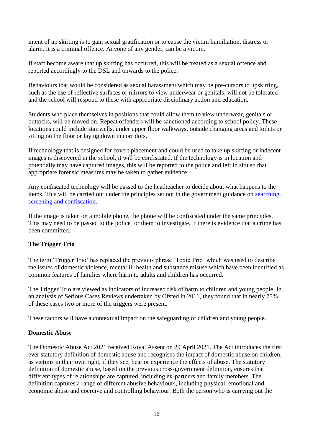intent of up skirting is to gain sexual gratification or to cause the victim humiliation, distress or alarm. It is a criminal offence. Anyone of any gender, can be a victim.

If staff become aware that up skirting has occurred, this will be treated as a sexual offence and reported accordingly to the DSL and onwards to the police.

Behaviours that would be considered as sexual harassment which may be pre-cursors to upskirting, such as the use of reflective surfaces or mirrors to view underwear or genitals, will not be tolerated and the school will respond to these with appropriate disciplinary action and education.

Students who place themselves in positions that could allow them to view underwear, genitals or buttocks, will be moved on. Repeat offenders will be sanctioned according to school policy. These locations could include stairwells, under upper floor walkways, outside changing areas and toilets or sitting on the floor or laying down in corridors.

If technology that is designed for covert placement and could be used to take up skirting or indecent images is discovered in the school, it will be confiscated. If the technology is in location and potentially may have captured images, this will be reported to the police and left in situ so that appropriate forensic measures may be taken to gather evidence.

Any confiscated technology will be passed to the headteacher to decide about what happens to the items. This will be carried out under the principles set out in the government guidance on [searching,](https://assets.publishing.service.gov.uk/government/uploads/system/uploads/attachment_data/file/674416/Searching_screening_and_confiscation.pdf)  [screening and confiscation.](https://assets.publishing.service.gov.uk/government/uploads/system/uploads/attachment_data/file/674416/Searching_screening_and_confiscation.pdf)

If the image is taken on a mobile phone, the phone will be confiscated under the same principles. This may need to be passed to the police for them to investigate, if there is evidence that a crime has been committed.

# <span id="page-11-0"></span>**The Trigger Trio**

The term 'Trigger Trio' has replaced the previous phrase 'Toxic Trio' which was used to describe the issues of domestic violence, mental ill-health and substance misuse which have been identified as common features of families where harm to adults and children has occurred.

The Trigger Trio are viewed as indicators of increased risk of harm to children and young people. In an analysis of Serious Cases Reviews undertaken by Ofsted in 2011, they found that in nearly 75% of these cases two or more of the triggers were present.

These factors will have a contextual impact on the safeguarding of children and young people.

# <span id="page-11-1"></span>**Domestic Abuse**

The Domestic Abuse Act 2021 received Royal Assent on 29 April 2021. The Act introduces the first ever statutory definition of domestic abuse and recognises the impact of domestic abuse on children, as victims in their own right, if they see, hear or experience the effects of abuse. The statutory definition of domestic abuse, based on the previous cross-government definition, ensures that different types of relationships are captured, including ex-partners and family members. The definition captures a range of different abusive behaviours, including physical, emotional and economic abuse and coercive and controlling behaviour. Both the person who is carrying out the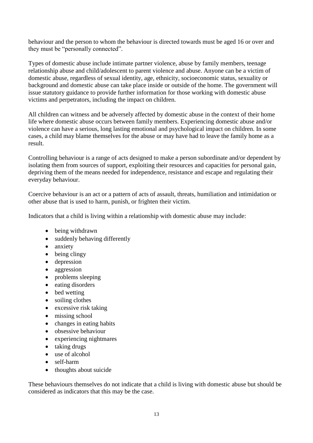behaviour and the person to whom the behaviour is directed towards must be aged 16 or over and they must be "personally connected".

Types of domestic abuse include intimate partner violence, abuse by family members, teenage relationship abuse and child/adolescent to parent violence and abuse. Anyone can be a victim of domestic abuse, regardless of sexual identity, age, ethnicity, socioeconomic status, sexuality or background and domestic abuse can take place inside or outside of the home. The government will issue statutory guidance to provide further information for those working with domestic abuse victims and perpetrators, including the impact on children.

All children can witness and be adversely affected by domestic abuse in the context of their home life where domestic abuse occurs between family members. Experiencing domestic abuse and/or violence can have a serious, long lasting emotional and psychological impact on children. In some cases, a child may blame themselves for the abuse or may have had to leave the family home as a result.

Controlling behaviour is a range of acts designed to make a person subordinate and/or dependent by isolating them from sources of support, exploiting their resources and capacities for personal gain, depriving them of the means needed for independence, resistance and escape and regulating their everyday behaviour.

Coercive behaviour is an act or a pattern of acts of assault, threats, humiliation and intimidation or other abuse that is used to harm, punish, or frighten their victim.

Indicators that a child is living within a relationship with domestic abuse may include:

- being withdrawn
- suddenly behaving differently
- anxiety
- being clingy
- depression
- aggression
- problems sleeping
- eating disorders
- bed wetting
- soiling clothes
- excessive risk taking
- missing school
- changes in eating habits
- obsessive behaviour
- experiencing nightmares
- taking drugs
- use of alcohol
- self-harm
- thoughts about suicide

These behaviours themselves do not indicate that a child is living with domestic abuse but should be considered as indicators that this may be the case.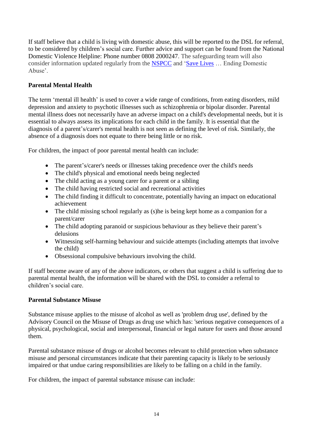If staff believe that a child is living with domestic abuse, this will be reported to the DSL for referral, to be considered by children's social care. Further advice and support can be found from the National Domestic Violence Helpline: Phone number 0808 2000247. The safeguarding team will also consider information updated regularly from the [NSPCC](https://www.nspcc.org.uk/what-is-child-abuse/types-of-abuse/domestic-abuse/) and ['Save Lives](https://safelives.org.uk/knowledge-hub/spotlights/spotlight-3-young-people-and-domestic-abuse) … Ending Domestic Abuse'.

# <span id="page-13-0"></span>**Parental Mental Health**

The term 'mental ill health' is used to cover a wide range of conditions, from eating disorders, mild depression and anxiety to psychotic illnesses such as schizophrenia or bipolar disorder. Parental mental illness does not necessarily have an adverse impact on a child's developmental needs, but it is essential to always assess its implications for each child in the family. It is essential that the diagnosis of a parent's/carer's mental health is not seen as defining the level of risk. Similarly, the absence of a diagnosis does not equate to there being little or no risk.

For children, the impact of poor parental mental health can include:

- The parent's/carer's needs or illnesses taking precedence over the child's needs
- The child's physical and emotional needs being neglected
- The child acting as a young carer for a parent or a sibling
- The child having restricted social and recreational activities
- The child finding it difficult to concentrate, potentially having an impact on educational achievement
- The child missing school regularly as (s) he is being kept home as a companion for a parent/carer
- The child adopting paranoid or suspicious behaviour as they believe their parent's delusions
- Witnessing self-harming behaviour and suicide attempts (including attempts that involve the child)
- Obsessional compulsive behaviours involving the child.

If staff become aware of any of the above indicators, or others that suggest a child is suffering due to parental mental health, the information will be shared with the DSL to consider a referral to children's social care.

# <span id="page-13-1"></span>**Parental Substance Misuse**

Substance misuse applies to the misuse of alcohol as well as 'problem drug use', defined by the Advisory Council on the Misuse of Drugs as drug use which has: 'serious negative consequences of a physical, psychological, social and interpersonal, financial or legal nature for users and those around them.

Parental substance misuse of drugs or alcohol becomes relevant to child protection when substance misuse and personal circumstances indicate that their parenting capacity is likely to be seriously impaired or that undue caring responsibilities are likely to be falling on a child in the family.

For children, the impact of parental substance misuse can include: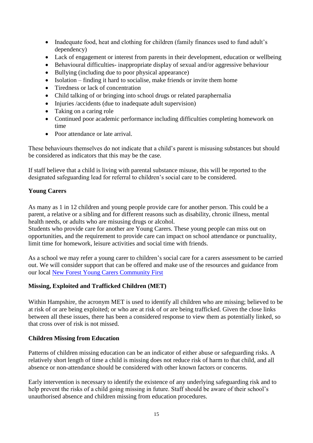- Inadequate food, heat and clothing for children (family finances used to fund adult's dependency)
- Lack of engagement or interest from parents in their development, education or wellbeing
- Behavioural difficulties- inappropriate display of sexual and/or aggressive behaviour
- Bullying (including due to poor physical appearance)
- Isolation finding it hard to socialise, make friends or invite them home
- Tiredness or lack of concentration
- Child talking of or bringing into school drugs or related paraphernalia
- Injuries /accidents (due to inadequate adult supervision)
- Taking on a caring role
- Continued poor academic performance including difficulties completing homework on time
- Poor attendance or late arrival.

These behaviours themselves do not indicate that a child's parent is misusing substances but should be considered as indicators that this may be the case.

If staff believe that a child is living with parental substance misuse, this will be reported to the designated safeguarding lead for referral to children's social care to be considered.

# <span id="page-14-0"></span>**Young Carers**

As many as 1 in 12 children and young people provide care for another person. This could be a parent, a relative or a sibling and for different reasons such as disability, chronic illness, mental health needs, or adults who are misusing drugs or alcohol.

Students who provide care for another are Young Carers. These young people can miss out on opportunities, and the requirement to provide care can impact on school attendance or punctuality, limit time for homework, leisure activities and social time with friends.

As a school we may refer a young carer to children's social care for a carers assessment to be carried out. We will consider support that can be offered and make use of the resources and guidance from our local [New Forest Young Carers Community First](https://www.cfirst.org.uk/wellbeing/young-carers/)

# <span id="page-14-1"></span>**Missing, Exploited and Trafficked Children (MET)**

Within Hampshire, the acronym MET is used to identify all children who are missing; believed to be at risk of or are being exploited; or who are at risk of or are being trafficked. Given the close links between all these issues, there has been a considered response to view them as potentially linked, so that cross over of risk is not missed.

# <span id="page-14-2"></span>**Children Missing from Education**

Patterns of children missing education can be an indicator of either abuse or safeguarding risks. A relatively short length of time a child is missing does not reduce risk of harm to that child, and all absence or non-attendance should be considered with other known factors or concerns.

Early intervention is necessary to identify the existence of any underlying safeguarding risk and to help prevent the risks of a child going missing in future. Staff should be aware of their school's unauthorised absence and children missing from education procedures.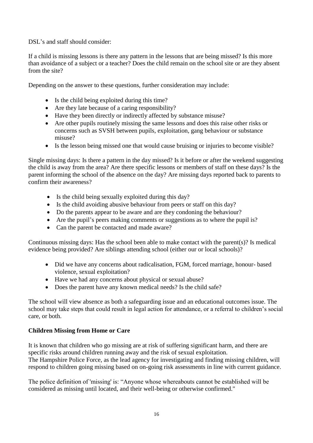DSL's and staff should consider:

If a child is missing lessons is there any pattern in the lessons that are being missed? Is this more than avoidance of a subject or a teacher? Does the child remain on the school site or are they absent from the site?

Depending on the answer to these questions, further consideration may include:

- Is the child being exploited during this time?
- Are they late because of a caring responsibility?
- Have they been directly or indirectly affected by substance misuse?
- Are other pupils routinely missing the same lessons and does this raise other risks or concerns such as SVSH between pupils, exploitation, gang behaviour or substance misuse?
- Is the lesson being missed one that would cause bruising or injuries to become visible?

Single missing days: Is there a pattern in the day missed? Is it before or after the weekend suggesting the child is away from the area? Are there specific lessons or members of staff on these days? Is the parent informing the school of the absence on the day? Are missing days reported back to parents to confirm their awareness?

- Is the child being sexually exploited during this day?
- Is the child avoiding abusive behaviour from peers or staff on this day?
- Do the parents appear to be aware and are they condoning the behaviour?
- Are the pupil's peers making comments or suggestions as to where the pupil is?
- Can the parent be contacted and made aware?

Continuous missing days: Has the school been able to make contact with the parent(s)? Is medical evidence being provided? Are siblings attending school (either our or local schools)?

- Did we have any concerns about radicalisation, FGM, forced marriage, honour- based violence, sexual exploitation?
- Have we had any concerns about physical or sexual abuse?
- Does the parent have any known medical needs? Is the child safe?

The school will view absence as both a safeguarding issue and an educational outcomes issue. The school may take steps that could result in legal action for attendance, or a referral to children's social care, or both.

### <span id="page-15-0"></span>**Children Missing from Home or Care**

It is known that children who go missing are at risk of suffering significant harm, and there are specific risks around children running away and the risk of sexual exploitation. The Hampshire Police Force, as the lead agency for investigating and finding missing children, will respond to children going missing based on on-going risk assessments in line with current guidance.

The police definition of 'missing' is: "Anyone whose whereabouts cannot be established will be considered as missing until located, and their well-being or otherwise confirmed."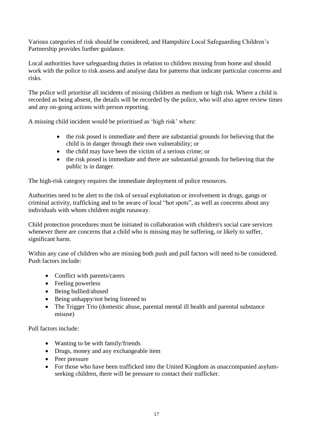Various categories of risk should be considered, and Hampshire Local Safeguarding Children's Partnership provides further guidance.

Local authorities have safeguarding duties in relation to children missing from home and should work with the police to risk assess and analyse data for patterns that indicate particular concerns and risks.

The police will prioritise all incidents of missing children as medium or high risk. Where a child is recorded as being absent, the details will be recorded by the police, who will also agree review times and any on-going actions with person reporting.

A missing child incident would be prioritised as 'high risk' where:

- the risk posed is immediate and there are substantial grounds for believing that the child is in danger through their own vulnerability; or
- the child may have been the victim of a serious crime; or
- the risk posed is immediate and there are substantial grounds for believing that the public is in danger.

The high-risk category requires the immediate deployment of police resources.

Authorities need to be alert to the risk of sexual exploitation or involvement in drugs, gangs or criminal activity, trafficking and to be aware of local "hot spots", as well as concerns about any individuals with whom children might runaway.

Child protection procedures must be initiated in collaboration with children's social care services whenever there are concerns that a child who is missing may be suffering, or likely to suffer, significant harm.

Within any case of children who are missing both push and pull factors will need to be considered. Push factors include:

- Conflict with parents/carers
- Feeling powerless
- Being bullied/abused
- Being unhappy/not being listened to
- The Trigger Trio (domestic abuse, parental mental ill health and parental substance misuse)

Pull factors include:

- Wanting to be with family/friends
- Drugs, money and any exchangeable item
- Peer pressure
- For those who have been trafficked into the United Kingdom as unaccompanied asylumseeking children, there will be pressure to contact their trafficker.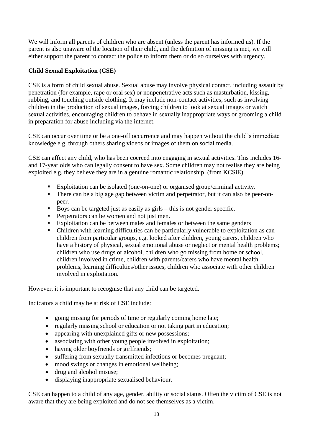We will inform all parents of children who are absent (unless the parent has informed us). If the parent is also unaware of the location of their child, and the definition of missing is met, we will either support the parent to contact the police to inform them or do so ourselves with urgency.

# <span id="page-17-0"></span>**Child Sexual Exploitation (CSE)**

CSE is a form of child sexual abuse. Sexual abuse may involve physical contact, including assault by penetration (for example, rape or oral sex) or nonpenetrative acts such as masturbation, kissing, rubbing, and touching outside clothing. It may include non-contact activities, such as involving children in the production of sexual images, forcing children to look at sexual images or watch sexual activities, encouraging children to behave in sexually inappropriate ways or grooming a child in preparation for abuse including via the internet.

CSE can occur over time or be a one-off occurrence and may happen without the child's immediate knowledge e.g. through others sharing videos or images of them on social media.

CSE can affect any child, who has been coerced into engaging in sexual activities. This includes 16 and 17-year olds who can legally consent to have sex. Some children may not realise they are being exploited e.g. they believe they are in a genuine romantic relationship. (from KCSiE)

- Exploitation can be isolated (one-on-one) or organised group/criminal activity.
- There can be a big age gap between victim and perpetrator, but it can also be peer-onpeer.
- Boys can be targeted just as easily as girls this is not gender specific.
- **•** Perpetrators can be women and not just men.
- Exploitation can be between males and females or between the same genders
- Children with learning difficulties can be particularly vulnerable to exploitation as can children from particular groups, e.g. looked after children, young carers, children who have a history of physical, sexual emotional abuse or neglect or mental health problems; children who use drugs or alcohol, children who go missing from home or school, children involved in crime, children with parents/carers who have mental health problems, learning difficulties/other issues, children who associate with other children involved in exploitation.

However, it is important to recognise that any child can be targeted.

Indicators a child may be at risk of CSE include:

- going missing for periods of time or regularly coming home late;
- regularly missing school or education or not taking part in education;
- appearing with unexplained gifts or new possessions;
- associating with other young people involved in exploitation;
- having older boyfriends or girlfriends;
- suffering from sexually transmitted infections or becomes pregnant;
- mood swings or changes in emotional wellbeing;
- drug and alcohol misuse;
- displaying inappropriate sexualised behaviour.

CSE can happen to a child of any age, gender, ability or social status. Often the victim of CSE is not aware that they are being exploited and do not see themselves as a victim.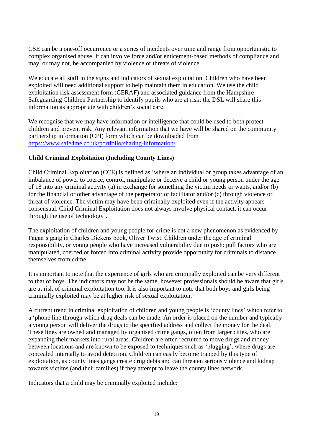CSE can be a one-off occurrence or a series of incidents over time and range from opportunistic to complex organised abuse. It can involve force and/or enticement-based methods of compliance and may, or may not, be accompanied by violence or threats of violence.

We educate all staff in the signs and indicators of sexual exploitation. Children who have been exploited will need additional support to help maintain them in education. We use the child exploitation risk assessment form [\(CERAF\)](http://www.hampshiresafeguardingchildrenboard.org.uk/user_controlled_lcms_area/uploaded_files/SERAF%20Risk%20Assessment%20Form%20UPDATED%20Sept%202015%20%282%29.doc) and [associated guidance](http://www.hampshiresafeguardingchildrenboard.org.uk/user_controlled_lcms_area/uploaded_files/SERAF%20Risk%20Assessment%20-%20Scoring%20Guidance_%28HF000005713337%29.doc) from the Hampshire Safeguarding Children Partnership to identify pupils who are at risk; the DSL will share this information as appropriate with children's social care.

We recognise that we may have information or intelligence that could be used to both protect children and prevent risk. Any relevant information that we have will be shared on the community partnership information (CPI) form which can be downloaded from <https://www.safe4me.co.uk/portfolio/sharing-information/>

# <span id="page-18-0"></span>**Child Criminal Exploitation (Including County Lines)**

Child Criminal Exploitation (CCE) is defined as 'where an individual or group takes advantage of an imbalance of power to coerce, control, manipulate or deceive a child or young person under the age of 18 into any criminal activity (a) in exchange for something the victim needs or wants, and/or (b) for the financial or other advantage of the perpetrator or facilitator and/or (c) through violence or threat of violence. The victim may have been criminally exploited even if the activity appears consensual. Child Criminal Exploitation does not always involve physical contact, it can occur through the use of technology'.

The exploitation of children and young people for crime is not a new phenomenon as evidenced by Fagan's gang in Charles Dickens book, Oliver Twist. Children under the age of criminal responsibility, or young people who have increased vulnerability due to push: pull factors who are manipulated, coerced or forced into criminal activity provide opportunity for criminals to distance themselves from crime.

It is important to note that the experience of girls who are criminally exploited can be very different to that of boys. The indicators may not be the same, however professionals should be aware that girls are at risk of criminal exploitation too. It is also important to note that both boys and girls being criminally exploited may be at higher risk of sexual exploitation.

A current trend in criminal exploitation of children and young people is 'county lines' which refer to a 'phone line through which drug deals can be made. An order is placed on the number and typically a young person will deliver the drugs to the specified address and collect the money for the deal. These lines are owned and managed by organised crime gangs, often from larger cities, who are expanding their markets into rural areas. Children are often recruited to move drugs and money between locations and are known to be exposed to techniques such as 'plugging', where drugs are concealed internally to avoid detection. Children can easily become trapped by this type of exploitation, as county lines gangs create drug debts and can threaten serious violence and kidnap towards victims (and their families) if they attempt to leave the county lines network.

Indicators that a child may be criminally exploited include: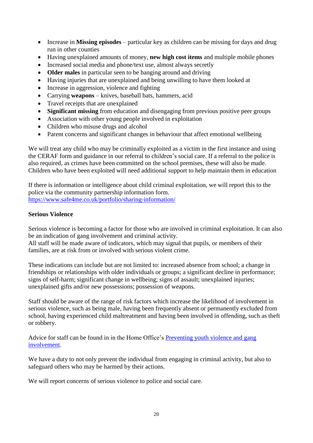- Increase in **Missing episodes** particular key as children can be missing for days and drug run in other counties
- Having unexplained amounts of money, **new high cost items** and multiple mobile phones
- Increased social media and phone/text use, almost always secretly
- **Older males** in particular seen to be hanging around and driving
- Having injuries that are unexplained and being unwilling to have them looked at
- Increase in aggression, violence and fighting
- Carrying **weapons** knives, baseball bats, hammers, acid
- Travel receipts that are unexplained
- **Significant missing** from education and disengaging from previous positive peer groups
- Association with other young people involved in exploitation
- Children who misuse drugs and alcohol
- Parent concerns and significant changes in behaviour that affect emotional wellbeing

We will treat any child who may be criminally exploited as a victim in the first instance and using the CERAF form and guidance in our referral to children's social care. If a referral to the police is also required, as crimes have been committed on the school premises, these will also be made. Children who have been exploited will need additional support to help maintain them in education

If there is information or intelligence about child criminal exploitation, we will report this to the police via the community partnership information form. <https://www.safe4me.co.uk/portfolio/sharing-information/>

# <span id="page-19-0"></span>**Serious Violence**

Serious violence is becoming a factor for those who are involved in criminal exploitation. It can also be an indication of gang involvement and criminal activity.

All staff will be made aware of indicators, which may signal that pupils, or members of their families, are at risk from or involved with serious violent crime.

These indications can include but are not limited to: increased absence from school; a change in friendships or relationships with older individuals or groups; a significant decline in performance; signs of self-harm; significant change in wellbeing; signs of assault; unexplained injuries; unexplained gifts and/or new possessions; possession of weapons.

Staff should be aware of the range of risk factors which increase the likelihood of involvement in serious violence, such as being male, having been frequently absent or permanently excluded from school, having experienced child maltreatment and having been involved in offending, such as theft or robbery.

Advice for staff can be found in in the Home Office's [Preventing youth violence and gang](https://www.gov.uk/government/publications/advice-to-schools-and-colleges-on-gangs-and-youth-violence)  [involvement.](https://www.gov.uk/government/publications/advice-to-schools-and-colleges-on-gangs-and-youth-violence)

We have a duty to not only prevent the individual from engaging in criminal activity, but also to safeguard others who may be harmed by their actions.

We will report concerns of serious violence to police and social care.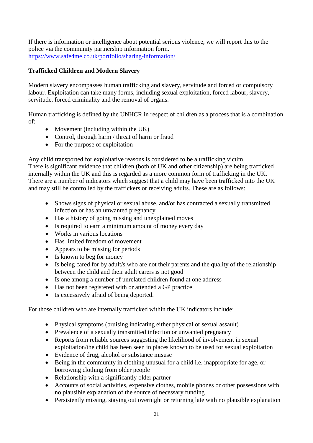If there is information or intelligence about potential serious violence, we will report this to the police via the community partnership information form. <https://www.safe4me.co.uk/portfolio/sharing-information/>

# <span id="page-20-0"></span>**Trafficked Children and Modern Slavery**

Modern slavery encompasses human trafficking and slavery, servitude and forced or compulsory labour. Exploitation can take many forms, including sexual exploitation, forced labour, slavery, servitude, forced criminality and the removal of organs.

Human trafficking is defined by the UNHCR in respect of children as a process that is a combination of:

- Movement (including within the UK)
- Control, through harm / threat of harm or fraud
- For the purpose of exploitation

Any child transported for exploitative reasons is considered to be a trafficking victim. There is significant evidence that children (both of UK and other citizenship) are being trafficked internally within the UK and this is regarded as a more common form of trafficking in the UK. There are a number of indicators which suggest that a child may have been trafficked into the UK and may still be controlled by the traffickers or receiving adults. These are as follows:

- Shows signs of physical or sexual abuse, and/or has contracted a sexually transmitted infection or has an unwanted pregnancy
- Has a history of going missing and unexplained moves
- Is required to earn a minimum amount of money every day
- Works in various locations
- Has limited freedom of movement
- Appears to be missing for periods
- Is known to beg for money
- Is being cared for by adult/s who are not their parents and the quality of the relationship between the child and their adult carers is not good
- Is one among a number of unrelated children found at one address
- Has not been registered with or attended a GP practice
- Is excessively afraid of being deported.

For those children who are internally trafficked within the UK indicators include:

- Physical symptoms (bruising indicating either physical or sexual assault)
- Prevalence of a sexually transmitted infection or unwanted pregnancy
- Reports from reliable sources suggesting the likelihood of involvement in sexual exploitation/the child has been seen in places known to be used for sexual exploitation
- Evidence of drug, alcohol or substance misuse
- Being in the community in clothing unusual for a child i.e. inappropriate for age, or borrowing clothing from older people
- Relationship with a significantly older partner
- Accounts of social activities, expensive clothes, mobile phones or other possessions with no plausible explanation of the source of necessary funding
- Persistently missing, staying out overnight or returning late with no plausible explanation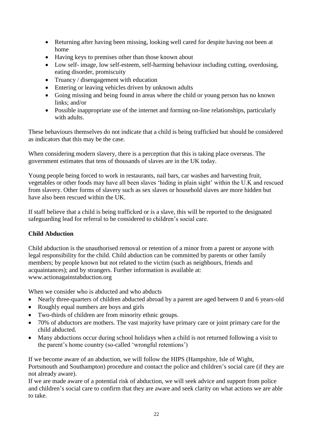- Returning after having been missing, looking well cared for despite having not been at home
- Having keys to premises other than those known about
- Low self- image, low self-esteem, self-harming behaviour including cutting, overdosing, eating disorder, promiscuity
- Truancy / disengagement with education
- Entering or leaving vehicles driven by unknown adults
- Going missing and being found in areas where the child or young person has no known links; and/or
- Possible inappropriate use of the internet and forming on-line relationships, particularly with adults.

These behaviours themselves do not indicate that a child is being trafficked but should be considered as indicators that this may be the case.

When considering modern slavery, there is a perception that this is taking place overseas. The government estimates that tens of thousands of slaves are in the UK today.

Young people being forced to work in restaurants, nail bars, car washes and harvesting fruit, vegetables or other foods may have all been slaves 'hiding in plain sight' within the U.K and rescued from slavery. Other forms of slavery such as sex slaves or household slaves are more hidden but have also been rescued within the UK.

If staff believe that a child is being trafficked or is a slave, this will be reported to the designated safeguarding lead for referral to be considered to children's social care.

# <span id="page-21-0"></span>**Child Abduction**

Child abduction is the unauthorised removal or retention of a minor from a parent or anyone with legal responsibility for the child. Child abduction can be committed by parents or other family members; by people known but not related to the victim (such as neighbours, friends and acquaintances); and by strangers. Further information is available at: www.actionagainstabduction.org

When we consider who is abducted and who abducts

- Nearly three-quarters of children abducted abroad by a parent are aged between 0 and 6 years-old
- Roughly equal numbers are boys and girls
- Two-thirds of children are from minority ethnic groups.
- 70% of abductors are mothers. The vast majority have primary care or joint primary care for the child abducted.
- Many abductions occur during school holidays when a child is not returned following a visit to the parent's home country (so-called 'wrongful retentions')

If we become aware of an abduction, we will follow the HIPS (Hampshire, Isle of Wight, Portsmouth and Southampton) procedure and contact the police and children's social care (if they are not already aware).

If we are made aware of a potential risk of abduction, we will seek advice and support from police and children's social care to confirm that they are aware and seek clarity on what actions we are able to take.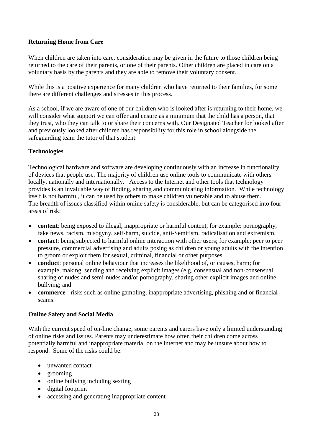# <span id="page-22-0"></span>**Returning Home from Care**

When children are taken into care, consideration may be given in the future to those children being returned to the care of their parents, or one of their parents. Other children are placed in care on a voluntary basis by the parents and they are able to remove their voluntary consent.

While this is a positive experience for many children who have returned to their families, for some there are different challenges and stresses in this process.

As a school, if we are aware of one of our children who is looked after is returning to their home, we will consider what support we can offer and ensure as a minimum that the child has a person, that they trust, who they can talk to or share their concerns with. Our Designated Teacher for looked after and previously looked after children has responsibility for this role in school alongside the safeguarding team the tutor of that student.

# <span id="page-22-1"></span>**Technologies**

Technological hardware and software are developing continuously with an increase in functionality of devices that people use. The majority of children use online tools to communicate with others locally, nationally and internationally. Access to the Internet and other tools that technology provides is an invaluable way of finding, sharing and communicating information. While technology itself is not harmful, it can be used by others to make children vulnerable and to abuse them. The breadth of issues classified within online safety is considerable, but can be categorised into four areas of risk:

- **content**: being exposed to illegal, inappropriate or harmful content, for example: pornography, fake news, racism, misogyny, self-harm, suicide, anti-Semitism, radicalisation and extremism.
- **contact**: being subjected to harmful online interaction with other users; for example: peer to peer pressure, commercial advertising and adults posing as children or young adults with the intention to groom or exploit them for sexual, criminal, financial or other purposes.
- **conduct**: personal online behaviour that increases the likelihood of, or causes, harm; for example, making, sending and receiving explicit images (e.g. consensual and non-consensual sharing of nudes and semi-nudes and/or pornography, sharing other explicit images and online bullying; and
- **commerce** risks such as online gambling, inappropriate advertising, phishing and or financial scams.

# <span id="page-22-2"></span>**Online Safety and Social Media**

With the current speed of on-line change, some parents and carers have only a limited understanding of online risks and issues. Parents may underestimate how often their children come across potentially harmful and inappropriate material on the internet and may be unsure about how to respond. Some of the risks could be:

- unwanted contact
- grooming
- online bullying including sexting
- digital footprint
- accessing and generating inappropriate content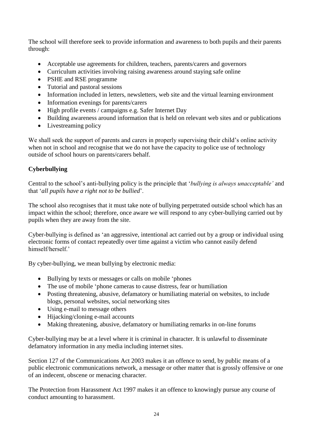The school will therefore seek to provide information and awareness to both pupils and their parents through:

- Acceptable use agreements for children, teachers, parents/carers and governors
- Curriculum activities involving raising awareness around staying safe online
- PSHE and RSE programme
- Tutorial and pastoral sessions
- Information included in letters, newsletters, web site and the virtual learning environment
- Information evenings for parents/carers
- High profile events / campaigns e.g. Safer Internet Day
- Building awareness around information that is held on relevant web sites and or publications
- Livestreaming policy

We shall seek the support of parents and carers in properly supervising their child's online activity when not in school and recognise that we do not have the capacity to police use of technology outside of school hours on parents/carers behalf.

# <span id="page-23-0"></span>**Cyberbullying**

Central to the school's anti-bullying policy is the principle that '*bullying is always unacceptable'* and that '*all pupils have a right not to be bullied*'.

The school also recognises that it must take note of bullying perpetrated outside school which has an impact within the school; therefore, once aware we will respond to any cyber-bullying carried out by pupils when they are away from the site.

Cyber-bullying is defined as 'an aggressive, intentional act carried out by a group or individual using electronic forms of contact repeatedly over time against a victim who cannot easily defend himself/herself.'

By cyber-bullying, we mean bullying by electronic media:

- Bullying by texts or messages or calls on mobile 'phones
- The use of mobile 'phone cameras to cause distress, fear or humiliation
- Posting threatening, abusive, defamatory or humiliating material on websites, to include blogs, personal websites, social networking sites
- Using e-mail to message others
- Hijacking/cloning e-mail accounts
- Making threatening, abusive, defamatory or humiliating remarks in on-line forums

Cyber-bullying may be at a level where it is criminal in character. It is unlawful to disseminate defamatory information in any media including internet sites.

Section 127 of the Communications Act 2003 makes it an offence to send, by public means of a public electronic communications network, a message or other matter that is grossly offensive or one of an indecent, obscene or menacing character.

The Protection from Harassment Act 1997 makes it an offence to knowingly pursue any course of conduct amounting to harassment.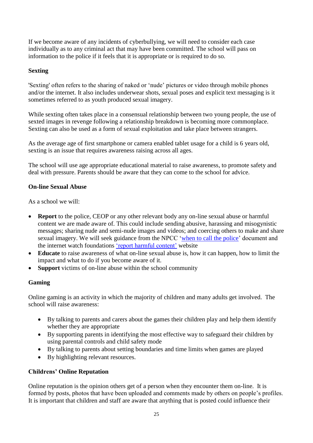If we become aware of any incidents of cyberbullying, we will need to consider each case individually as to any criminal act that may have been committed. The school will pass on information to the police if it feels that it is appropriate or is required to do so.

# <span id="page-24-0"></span>**Sexting**

'Sexting' often refers to the sharing of naked or 'nude' pictures or video through mobile phones and/or the internet. It also includes underwear shots, sexual poses and explicit text messaging is it sometimes referred to as youth produced sexual imagery.

While sexting often takes place in a consensual relationship between two young people, the use of sexted images in revenge following a relationship breakdown is becoming more commonplace. Sexting can also be used as a form of sexual exploitation and take place between strangers.

As the average age of first smartphone or camera enabled tablet usage for a child is 6 years old, sexting is an issue that requires awareness raising across all ages.

The school will use age appropriate educational material to raise awareness, to promote safety and deal with pressure. Parents should be aware that they can come to the school for advice.

# <span id="page-24-1"></span>**On-line Sexual Abuse**

As a school we will:

- **Report** to the police, CEOP or any other relevant body any on-line sexual abuse or harmful content we are made aware of. This could include sending abusive, harassing and misogynistic messages; sharing nude and semi-nude images and videos; and coercing others to make and share sexual imagery. We will seek guidance from the NPCC ['when to call the police'](https://www.npcc.police.uk/documents/Children%20and%20Young%20people/When%20to%20call%20the%20police%20guidance%20for%20schools%20and%20colleges.pdf) document and the internet watch foundations ['report harmful content'](https://reportharmfulcontent.com/?lang=en) website
- **Educate** to raise awareness of what on-line sexual abuse is, how it can happen, how to limit the impact and what to do if you become aware of it.
- **Support** victims of on-line abuse within the school community

# <span id="page-24-2"></span>**Gaming**

Online gaming is an activity in which the majority of children and many adults get involved. The school will raise awareness:

- By talking to parents and carers about the games their children play and help them identify whether they are appropriate
- By supporting parents in identifying the most effective way to safeguard their children by using parental controls and child safety mode
- By talking to parents about setting boundaries and time limits when games are played
- By highlighting relevant resources.

# <span id="page-24-3"></span>**Childrens' Online Reputation**

Online reputation is the opinion others get of a person when they encounter them on-line. It is formed by posts, photos that have been uploaded and comments made by others on people's profiles. It is important that children and staff are aware that anything that is posted could influence their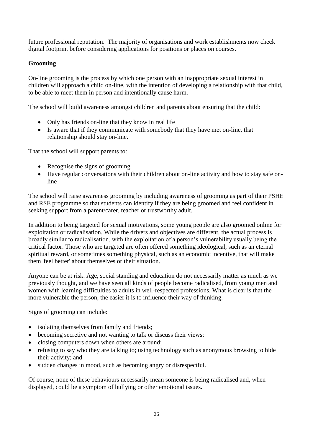future professional reputation. The majority of organisations and work establishments now check digital footprint before considering applications for positions or places on courses.

# <span id="page-25-0"></span>**Grooming**

On-line grooming is the process by which one person with an inappropriate sexual interest in children will approach a child on-line, with the intention of developing a relationship with that child, to be able to meet them in person and intentionally cause harm.

The school will build awareness amongst children and parents about ensuring that the child:

- Only has friends on-line that they know in real life
- Is aware that if they communicate with somebody that they have met on-line, that relationship should stay on-line.

That the school will support parents to:

- Recognise the signs of grooming
- Have regular conversations with their children about on-line activity and how to stay safe online

The school will raise awareness grooming by including awareness of grooming as part of their PSHE and RSE programme so that students can identify if they are being groomed and feel confident in seeking support from a parent/carer, teacher or trustworthy adult.

In addition to being targeted for sexual motivations, some young people are also groomed online for exploitation or radicalisation. While the drivers and objectives are different, the actual process is broadly similar to radicalisation, with the exploitation of a person's vulnerability usually being the critical factor. Those who are targeted are often offered something ideological, such as an eternal spiritual reward, or sometimes something physical, such as an economic incentive, that will make them 'feel better' about themselves or their situation.

Anyone can be at risk. Age, social standing and education do not necessarily matter as much as we previously thought, and we have seen all kinds of people become radicalised, from young men and women with learning difficulties to adults in well-respected professions. What is clear is that the more vulnerable the person, the easier it is to influence their way of thinking.

Signs of grooming can include:

- isolating themselves from family and friends;
- becoming secretive and not wanting to talk or discuss their views;
- closing computers down when others are around;
- refusing to say who they are talking to; using technology such as anonymous browsing to hide their activity; and
- sudden changes in mood, such as becoming angry or disrespectful.

Of course, none of these behaviours necessarily mean someone is being radicalised and, when displayed, could be a symptom of bullying or other emotional issues.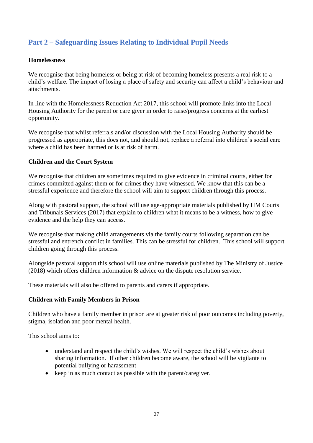# **Part 2 – Safeguarding Issues Relating to Individual Pupil Needs**

# <span id="page-26-0"></span>**Homelessness**

We recognise that being homeless or being at risk of becoming homeless presents a real risk to a child's welfare. The impact of losing a place of safety and security can affect a child's behaviour and attachments.

In line with the Homelessness Reduction Act 2017, this school will promote links into the Local Housing Authority for the parent or care giver in order to raise/progress concerns at the earliest opportunity.

We recognise that whilst referrals and/or discussion with the Local Housing Authority should be progressed as appropriate, this does not, and should not, replace a referral into children's social care where a child has been harmed or is at risk of harm.

# <span id="page-26-1"></span>**Children and the Court System**

We recognise that children are sometimes required to give evidence in criminal courts, either for crimes committed against them or for crimes they have witnessed. We know that this can be a stressful experience and therefore the school will aim to support children through this process.

Along with pastoral support, the school will use age-appropriate materials published by HM Courts and Tribunals Services (2017) that explain to children what it means to be a witness, how to give evidence and the help they can access.

We recognise that making child arrangements via the family courts following separation can be stressful and entrench conflict in families. This can be stressful for children. This school will support children going through this process.

Alongside pastoral support this school will use online materials published by The Ministry of Justice (2018) which offers children information & advice on the dispute resolution service.

These materials will also be offered to parents and carers if appropriate.

# <span id="page-26-2"></span>**Children with Family Members in Prison**

Children who have a family member in prison are at greater risk of poor outcomes including poverty, stigma, isolation and poor mental health.

This school aims to:

- understand and respect the child's wishes. We will respect the child's wishes about sharing information. If other children become aware, the school will be vigilante to potential bullying or harassment
- keep in as much contact as possible with the parent/caregiver.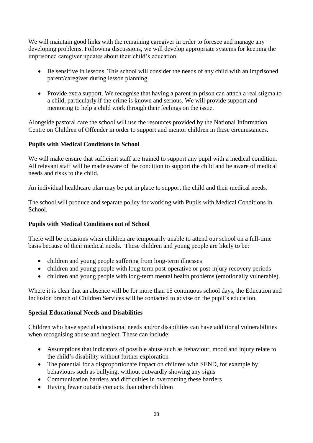We will maintain good links with the remaining caregiver in order to foresee and manage any developing problems. Following discussions, we will develop appropriate systems for keeping the imprisoned caregiver updates about their child's education.

- Be sensitive in lessons. This school will consider the needs of any child with an imprisoned parent/caregiver during lesson planning.
- Provide extra support. We recognise that having a parent in prison can attach a real stigma to a child, particularly if the crime is known and serious. We will provide support and mentoring to help a child work through their feelings on the issue.

Alongside pastoral care the school will use the resources provided by the National Information Centre on Children of Offender in order to support and mentor children in these circumstances.

# <span id="page-27-0"></span>**Pupils with Medical Conditions in School**

We will make ensure that sufficient staff are trained to support any pupil with a medical condition. All relevant staff will be made aware of the condition to support the child and be aware of medical needs and risks to the child.

An individual healthcare plan may be put in place to support the child and their medical needs.

The school will produce and separate policy for working with Pupils with Medical Conditions in School.

# <span id="page-27-1"></span>**Pupils with Medical Conditions out of School**

There will be occasions when children are temporarily unable to attend our school on a full-time basis because of their medical needs. These children and young people are likely to be:

- children and young people suffering from long-term illnesses
- children and young people with long-term post-operative or post-injury recovery periods
- children and young people with long-term mental health problems (emotionally vulnerable).

Where it is clear that an absence will be for more than 15 continuous school days, the Education and Inclusion branch of Children Services will be contacted to advise on the pupil's education.

### <span id="page-27-2"></span>**Special Educational Needs and Disabilities**

Children who have special educational needs and/or disabilities can have additional vulnerabilities when recognising abuse and neglect. These can include:

- Assumptions that indicators of possible abuse such as behaviour, mood and injury relate to the child's disability without further exploration
- The potential for a disproportionate impact on children with SEND, for example by behaviours such as bullying, without outwardly showing any signs
- Communication barriers and difficulties in overcoming these barriers
- Having fewer outside contacts than other children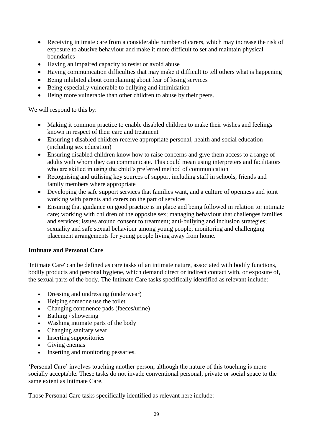- Receiving intimate care from a considerable number of carers, which may increase the risk of exposure to abusive behaviour and make it more difficult to set and maintain physical boundaries
- Having an impaired capacity to resist or avoid abuse
- Having communication difficulties that may make it difficult to tell others what is happening
- Being inhibited about complaining about fear of losing services
- Being especially vulnerable to bullying and intimidation
- Being more vulnerable than other children to abuse by their peers.

We will respond to this by:

- Making it common practice to enable disabled children to make their wishes and feelings known in respect of their care and treatment
- Ensuring t disabled children receive appropriate personal, health and social education (including sex education)
- Ensuring disabled children know how to raise concerns and give them access to a range of adults with whom they can communicate. This could mean using interpreters and facilitators who are skilled in using the child's preferred method of communication
- Recognising and utilising key sources of support including staff in schools, friends and family members where appropriate
- Developing the safe support services that families want, and a culture of openness and joint working with parents and carers on the part of services
- Ensuring that guidance on good practice is in place and being followed in relation to: intimate care; working with children of the opposite sex; managing behaviour that challenges families and services; issues around consent to treatment; anti-bullying and inclusion strategies; sexuality and safe sexual behaviour among young people; monitoring and challenging placement arrangements for young people living away from home.

# <span id="page-28-0"></span>**Intimate and Personal Care**

'Intimate Care' can be defined as care tasks of an intimate nature, associated with bodily functions, bodily products and personal hygiene, which demand direct or indirect contact with, or exposure of, the sexual parts of the body. The Intimate Care tasks specifically identified as relevant include:

- Dressing and undressing (underwear)
- Helping someone use the toilet
- Changing continence pads (faeces/urine)
- Bathing / showering
- Washing intimate parts of the body
- Changing sanitary wear
- Inserting suppositories
- Giving enemas
- Inserting and monitoring pessaries.

'Personal Care' involves touching another person, although the nature of this touching is more socially acceptable. These tasks do not invade conventional personal, private or social space to the same extent as Intimate Care.

Those Personal Care tasks specifically identified as relevant here include: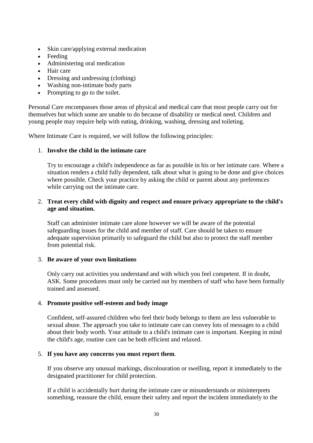- Skin care/applying external medication
- Feeding
- Administering oral medication
- Hair care
- Dressing and undressing (clothing)
- Washing non-intimate body parts
- Prompting to go to the toilet.

Personal Care encompasses those areas of physical and medical care that most people carry out for themselves but which some are unable to do because of disability or medical need. Children and young people may require help with eating, drinking, washing, dressing and toileting.

Where Intimate Care is required, we will follow the following principles:

### 1. **Involve the child in the intimate care**

Try to encourage a child's independence as far as possible in his or her intimate care. Where a situation renders a child fully dependent, talk about what is going to be done and give choices where possible. Check your practice by asking the child or parent about any preferences while carrying out the intimate care.

### 2. **Treat every child with dignity and respect and ensure privacy appropriate to the child's age and situation.**

Staff can administer intimate care alone however we will be aware of the potential safeguarding issues for the child and member of staff. Care should be taken to ensure adequate supervision primarily to safeguard the child but also to protect the staff member from potential risk.

### 3. **Be aware of your own limitations**

Only carry out activities you understand and with which you feel competent. If in doubt, ASK. Some procedures must only be carried out by members of staff who have been formally trained and assessed.

### 4. **Promote positive self-esteem and body image**

Confident, self-assured children who feel their body belongs to them are less vulnerable to sexual abuse. The approach you take to intimate care can convey lots of messages to a child about their body worth. Your attitude to a child's intimate care is important. Keeping in mind the child's age, routine care can be both efficient and relaxed.

### 5. **If you have any concerns you must report them**.

If you observe any unusual markings, discolouration or swelling, report it immediately to the designated practitioner for child protection.

If a child is accidentally hurt during the intimate care or misunderstands or misinterprets something, reassure the child, ensure their safety and report the incident immediately to the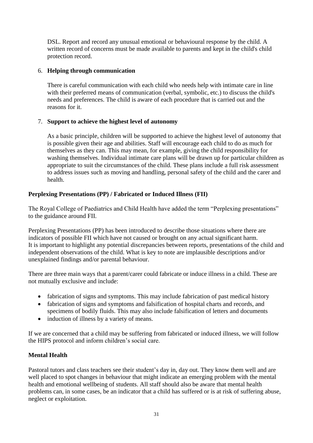DSL. Report and record any unusual emotional or behavioural response by the child. A written record of concerns must be made available to parents and kept in the child's child protection record.

# 6. **Helping through communication**

There is careful communication with each child who needs help with intimate care in line with their preferred means of communication (verbal, symbolic, etc.) to discuss the child's needs and preferences. The child is aware of each procedure that is carried out and the reasons for it.

# 7. **Support to achieve the highest level of autonomy**

As a basic principle, children will be supported to achieve the highest level of autonomy that is possible given their age and abilities. Staff will encourage each child to do as much for themselves as they can. This may mean, for example, giving the child responsibility for washing themselves. Individual intimate care plans will be drawn up for particular children as appropriate to suit the circumstances of the child. These plans include a full risk assessment to address issues such as moving and handling, personal safety of the child and the carer and health.

# <span id="page-30-0"></span>**Perplexing Presentations (PP) / Fabricated or Induced Illness (FII)**

The Royal College of Paediatrics and Child Health have added the term "Perplexing presentations" to the guidance around FII.

Perplexing Presentations (PP) has been introduced to describe those situations where there are indicators of possible FII which have not caused or brought on any actual significant harm. It is important to highlight any potential discrepancies between reports, presentations of the child and independent observations of the child. What is key to note are implausible descriptions and/or unexplained findings and/or parental behaviour.

There are three main ways that a parent/carer could fabricate or induce illness in a child. These are not mutually exclusive and include:

- fabrication of signs and symptoms. This may include fabrication of past medical history
- fabrication of signs and symptoms and falsification of hospital charts and records, and specimens of bodily fluids. This may also include falsification of letters and documents
- induction of illness by a variety of means.

If we are concerned that a child may be suffering from fabricated or induced illness, we will follow the HIPS protocol and inform children's social care.

# <span id="page-30-1"></span>**Mental Health**

Pastoral tutors and class teachers see their student's day in, day out. They know them well and are well placed to spot changes in behaviour that might indicate an emerging problem with the mental health and emotional wellbeing of students. All staff should also be aware that mental health problems can, in some cases, be an indicator that a child has suffered or is at risk of suffering abuse, neglect or exploitation.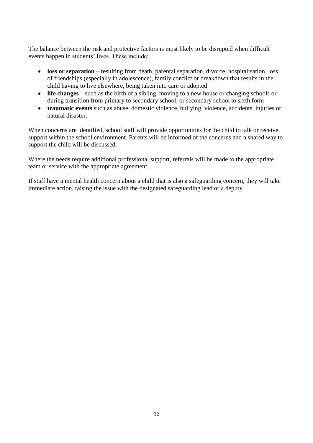The balance between the risk and protective factors is most likely to be disrupted when difficult events happen in students' lives. These include:

- **loss or separation** resulting from death, parental separation, divorce, hospitalisation, loss of friendships (especially in adolescence), family conflict or breakdown that results in the child having to live elsewhere, being taken into care or adopted
- **life changes** such as the birth of a sibling, moving to a new house or changing schools or during transition from primary to secondary school, or secondary school to sixth form
- **traumatic events** such as abuse, domestic violence, bullying, violence, accidents, injuries or natural disaster.

When concerns are identified, school staff will provide opportunities for the child to talk or receive support within the school environment. Parents will be informed of the concerns and a shared way to support the child will be discussed.

Where the needs require additional professional support, referrals will be made to the appropriate team or service with the appropriate agreement.

If staff have a mental health concern about a child that is also a safeguarding concern, they will take immediate action, raising the issue with the designated safeguarding lead or a deputy.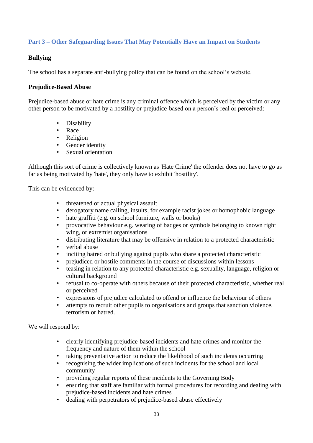# <span id="page-32-0"></span>**Part 3 – Other Safeguarding Issues That May Potentially Have an Impact on Students**

# <span id="page-32-1"></span>**Bullying**

The school has a separate anti-bullying policy that can be found on the school's website.

### <span id="page-32-2"></span>**Prejudice-Based Abuse**

Prejudice-based abuse or hate crime is any criminal offence which is perceived by the victim or any other person to be motivated by a hostility or prejudice-based on a person's real or perceived:

- Disability
- Race
- Religion
- Gender identity
- Sexual orientation

Although this sort of crime is collectively known as 'Hate Crime' the offender does not have to go as far as being motivated by 'hate', they only have to exhibit 'hostility'.

This can be evidenced by:

- threatened or actual physical assault
- derogatory name calling, insults, for example racist jokes or homophobic language
- hate graffiti (e.g. on school furniture, walls or books)
- provocative behaviour e.g. wearing of badges or symbols belonging to known right wing, or extremist organisations
- distributing literature that may be offensive in relation to a protected characteristic
- verbal abuse
- inciting hatred or bullying against pupils who share a protected characteristic
- prejudiced or hostile comments in the course of discussions within lessons
- teasing in relation to any protected characteristic e.g. sexuality, language, religion or cultural background
- refusal to co-operate with others because of their protected characteristic, whether real or perceived
- expressions of prejudice calculated to offend or influence the behaviour of others
- attempts to recruit other pupils to organisations and groups that sanction violence, terrorism or hatred.

We will respond by:

- clearly identifying prejudice-based incidents and hate crimes and monitor the frequency and nature of them within the school
- taking preventative action to reduce the likelihood of such incidents occurring
- recognising the wider implications of such incidents for the school and local community
- providing regular reports of these incidents to the Governing Body
- ensuring that staff are familiar with formal procedures for recording and dealing with prejudice-based incidents and hate crimes
- dealing with perpetrators of prejudice-based abuse effectively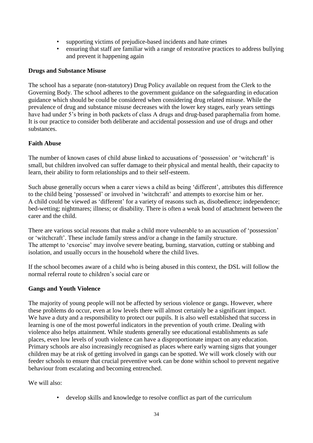- supporting victims of prejudice-based incidents and hate crimes<br>• ensuring that staff are familiar with a range of restorative practic
- ensuring that staff are familiar with a range of restorative practices to address bullying and prevent it happening again

### <span id="page-33-0"></span>**Drugs and Substance Misuse**

The school has a separate (non-statutory) Drug Policy available on request from the Clerk to the Governing Body. The school adheres to the government guidance on the safeguarding in education guidance which should be could be considered when considering drug related misuse. While the prevalence of drug and substance misuse decreases with the lower key stages, early years settings have had under 5's bring in both packets of class A drugs and drug-based paraphernalia from home. It is our practice to consider both deliberate and accidental possession and use of drugs and other substances.

### <span id="page-33-1"></span>**Faith Abuse**

The number of known cases of child abuse linked to accusations of 'possession' or 'witchcraft' is small, but children involved can suffer damage to their physical and mental health, their capacity to learn, their ability to form relationships and to their self-esteem.

Such abuse generally occurs when a carer views a child as being 'different', attributes this difference to the child being 'possessed' or involved in 'witchcraft' and attempts to exorcise him or her. A child could be viewed as 'different' for a variety of reasons such as, disobedience; independence; bed-wetting; nightmares; illness; or disability. There is often a weak bond of attachment between the carer and the child.

There are various social reasons that make a child more vulnerable to an accusation of 'possession' or 'witchcraft'. These include family stress and/or a change in the family structure. The attempt to 'exorcise' may involve severe beating, burning, starvation, cutting or stabbing and isolation, and usually occurs in the household where the child lives.

If the school becomes aware of a child who is being abused in this context, the DSL will follow the normal referral route to children's social care or

### <span id="page-33-2"></span>**Gangs and Youth Violence**

The majority of young people will not be affected by serious violence or gangs. However, where these problems do occur, even at low levels there will almost certainly be a significant impact. We have a duty and a responsibility to protect our pupils. It is also well established that success in learning is one of the most powerful indicators in the prevention of youth crime. Dealing with violence also helps attainment. While students generally see educational establishments as safe places, even low levels of youth violence can have a disproportionate impact on any education. Primary schools are also increasingly recognised as places where early warning signs that younger children may be at risk of getting involved in gangs can be spotted. We will work closely with our feeder schools to ensure that crucial preventive work can be done within school to prevent negative behaviour from escalating and becoming entrenched.

We will also:

• develop skills and knowledge to resolve conflict as part of the curriculum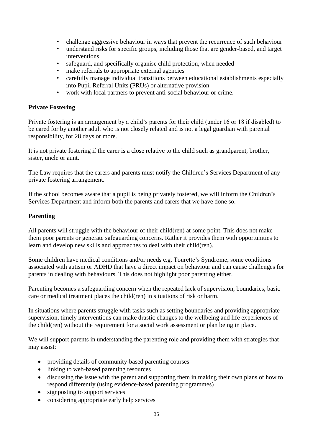- challenge aggressive behaviour in ways that prevent the recurrence of such behaviour
- understand risks for specific groups, including those that are gender-based, and target interventions
- safeguard, and specifically organise child protection, when needed
- make referrals to appropriate external agencies
- carefully manage individual transitions between educational establishments especially into Pupil Referral Units (PRUs) or alternative provision
- work with local partners to prevent anti-social behaviour or crime.

### <span id="page-34-0"></span>**Private Fostering**

Private fostering is an arrangement by a child's parents for their child (under 16 or 18 if disabled) to be cared for by another adult who is not closely related and is not a legal guardian with parental responsibility, for 28 days or more.

It is not private fostering if the carer is a close relative to the child such as grandparent, brother, sister, uncle or aunt.

The Law requires that the carers and parents must notify the Children's Services Department of any private fostering arrangement.

If the school becomes aware that a pupil is being privately fostered, we will inform the Children's Services Department and inform both the parents and carers that we have done so.

### <span id="page-34-1"></span>**Parenting**

All parents will struggle with the behaviour of their child(ren) at some point. This does not make them poor parents or generate safeguarding concerns. Rather it provides them with opportunities to learn and develop new skills and approaches to deal with their child(ren).

Some children have medical conditions and/or needs e.g. Tourette's Syndrome, some conditions associated with autism or ADHD that have a direct impact on behaviour and can cause challenges for parents in dealing with behaviours. This does not highlight poor parenting either.

Parenting becomes a safeguarding concern when the repeated lack of supervision, boundaries, basic care or medical treatment places the child(ren) in situations of risk or harm.

In situations where parents struggle with tasks such as setting boundaries and providing appropriate supervision, timely interventions can make drastic changes to the wellbeing and life experiences of the child(ren) without the requirement for a social work assessment or plan being in place.

We will support parents in understanding the parenting role and providing them with strategies that may assist:

- providing details of community-based parenting courses
- linking to web-based parenting resources
- discussing the issue with the parent and supporting them in making their own plans of how to respond differently (using evidence-based parenting programmes)
- signposting to support services
- considering appropriate early help services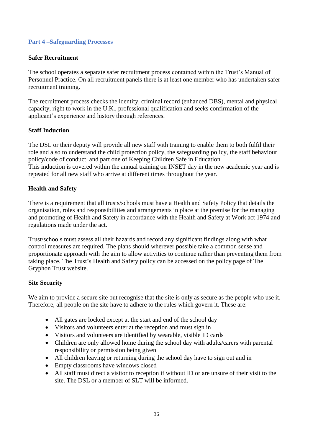# <span id="page-35-0"></span>**Part 4 –Safeguarding Processes**

### <span id="page-35-1"></span>**Safer Recruitment**

The school operates a separate safer recruitment process contained within the Trust's Manual of Personnel Practice. On all recruitment panels there is at least one member who has undertaken safer recruitment training.

The recruitment process checks the identity, criminal record (enhanced DBS), mental and physical capacity, right to work in the U.K., professional qualification and seeks confirmation of the applicant's experience and history through references.

### <span id="page-35-2"></span>**Staff Induction**

The DSL or their deputy will provide all new staff with training to enable them to both fulfil their role and also to understand the child protection policy, the safeguarding policy, the staff behaviour policy/code of conduct, and part one of Keeping Children Safe in Education. This induction is covered within the annual training on INSET day in the new academic year and is repeated for all new staff who arrive at different times throughout the year.

### <span id="page-35-3"></span>**Health and Safety**

There is a requirement that all trusts/schools must have a Health and Safety Policy that details the organisation, roles and responsibilities and arrangements in place at the premise for the managing and promoting of Health and Safety in accordance with the Health and Safety at Work act 1974 and regulations made under the act.

Trust/schools must assess all their hazards and record any significant findings along with what control measures are required. The plans should wherever possible take a common sense and proportionate approach with the aim to allow activities to continue rather than preventing them from taking place. The Trust's Health and Safety policy can be accessed on the policy page of The Gryphon Trust website.

# <span id="page-35-4"></span>**Site Security**

We aim to provide a secure site but recognise that the site is only as secure as the people who use it. Therefore, all people on the site have to adhere to the rules which govern it. These are:

- All gates are locked except at the start and end of the school day
- Visitors and volunteers enter at the reception and must sign in
- Visitors and volunteers are identified by wearable, visible ID cards
- Children are only allowed home during the school day with adults/carers with parental responsibility or permission being given
- All children leaving or returning during the school day have to sign out and in
- Empty classrooms have windows closed
- All staff must direct a visitor to reception if without ID or are unsure of their visit to the site. The DSL or a member of SLT will be informed.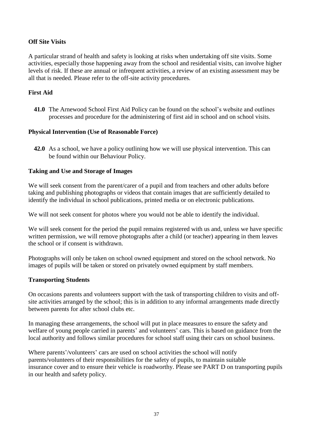# <span id="page-36-0"></span>**Off Site Visits**

A particular strand of health and safety is looking at risks when undertaking off site visits. Some activities, especially those happening away from the school and residential visits, can involve higher levels of risk. If these are annual or infrequent activities, a review of an existing assessment may be all that is needed. Please refer to the off-site activity procedures.

# <span id="page-36-1"></span>**First Aid**

**41.0** The Arnewood School First Aid Policy can be found on the school's website and outlines processes and procedure for the administering of first aid in school and on school visits.

# <span id="page-36-2"></span>**Physical Intervention (Use of Reasonable Force)**

**42.0** As a school, we have a policy outlining how we will use physical intervention. This can be found within our Behaviour Policy.

### <span id="page-36-3"></span>**Taking and Use and Storage of Images**

We will seek consent from the parent/carer of a pupil and from teachers and other adults before taking and publishing photographs or videos that contain images that are sufficiently detailed to identify the individual in school publications, printed media or on electronic publications.

We will not seek consent for photos where you would not be able to identify the individual.

We will seek consent for the period the pupil remains registered with us and, unless we have specific written permission, we will remove photographs after a child (or teacher) appearing in them leaves the school or if consent is withdrawn.

Photographs will only be taken on school owned equipment and stored on the school network. No images of pupils will be taken or stored on privately owned equipment by staff members.

### <span id="page-36-4"></span>**Transporting Students**

On occasions parents and volunteers support with the task of transporting children to visits and offsite activities arranged by the school; this is in addition to any informal arrangements made directly between parents for after school clubs etc.

In managing these arrangements, the school will put in place measures to ensure the safety and welfare of young people carried in parents' and volunteers' cars. This is based on guidance from the local authority and follows similar procedures for school staff using their cars on school business.

Where parents'/volunteers' cars are used on school activities the school will notify parents/volunteers of their responsibilities for the safety of pupils, to maintain suitable insurance cover and to ensure their vehicle is roadworthy. Please see PART D on transporting pupils in our health and safety policy.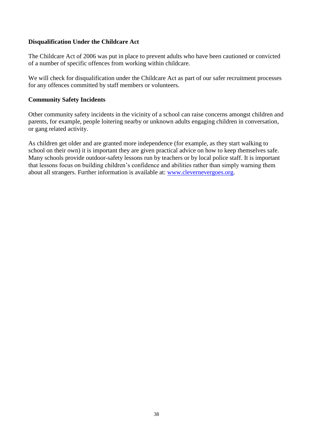# <span id="page-37-0"></span>**Disqualification Under the Childcare Act**

The Childcare Act of 2006 was put in place to prevent adults who have been cautioned or convicted of a number of specific offences from working within childcare.

We will check for disqualification under the Childcare Act as part of our safer recruitment processes for any offences committed by staff members or volunteers.

### <span id="page-37-1"></span>**Community Safety Incidents**

Other community safety incidents in the vicinity of a school can raise concerns amongst children and parents, for example, people loitering nearby or unknown adults engaging children in conversation, or gang related activity.

As children get older and are granted more independence (for example, as they start walking to school on their own) it is important they are given practical advice on how to keep themselves safe. Many schools provide outdoor-safety lessons run by teachers or by local police staff. It is important that lessons focus on building children's confidence and abilities rather than simply warning them about all strangers. Further information is available at: [www.clevernevergoes.org.](http://www.clevernevergoes.org/)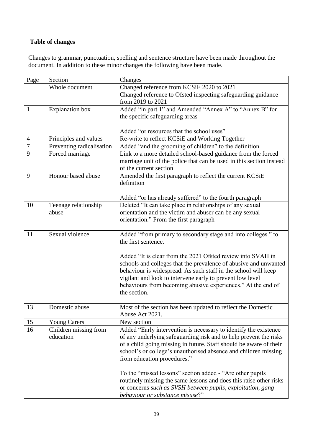# <span id="page-38-0"></span>**Table of changes**

Changes to grammar, punctuation, spelling and sentence structure have been made throughout the document. In addition to these minor changes the following have been made.

| Page                             | Section                            | Changes                                                                                                                               |
|----------------------------------|------------------------------------|---------------------------------------------------------------------------------------------------------------------------------------|
|                                  | Whole document                     | Changed reference from KCSiE 2020 to 2021                                                                                             |
|                                  |                                    | Changed reference to Ofsted inspecting safeguarding guidance                                                                          |
|                                  |                                    | from 2019 to 2021                                                                                                                     |
| $\mathbf{1}$                     | <b>Explanation</b> box             | Added "in part 1" and Amended "Annex A" to "Annex B" for                                                                              |
|                                  |                                    | the specific safeguarding areas                                                                                                       |
|                                  |                                    | Added "or resources that the school uses"                                                                                             |
|                                  | Principles and values              | Re-write to reflect KCSiE and Working Together                                                                                        |
| $\overline{4}$<br>$\overline{7}$ | Preventing radicalisation          | Added "and the grooming of children" to the definition.                                                                               |
| 9                                | Forced marriage                    | Link to a more detailed school-based guidance from the forced                                                                         |
|                                  |                                    | marriage unit of the police that can be used in this section instead                                                                  |
|                                  |                                    | of the current section                                                                                                                |
| 9                                | Honour based abuse                 | Amended the first paragraph to reflect the current KCSiE                                                                              |
|                                  |                                    | definition                                                                                                                            |
|                                  |                                    |                                                                                                                                       |
|                                  |                                    | Added "or has already suffered" to the fourth paragraph                                                                               |
| 10                               | Teenage relationship               | Deleted "It can take place in relationships of any sexual                                                                             |
|                                  | abuse                              | orientation and the victim and abuser can be any sexual                                                                               |
|                                  |                                    | orientation." From the first paragraph                                                                                                |
|                                  |                                    |                                                                                                                                       |
| 11                               | Sexual violence                    | Added "from primary to secondary stage and into colleges." to                                                                         |
|                                  |                                    | the first sentence.                                                                                                                   |
|                                  |                                    | Added "It is clear from the 2021 Ofsted review into SVAH in                                                                           |
|                                  |                                    | schools and colleges that the prevalence of abusive and unwanted                                                                      |
|                                  |                                    | behaviour is widespread. As such staff in the school will keep                                                                        |
|                                  |                                    | vigilant and look to intervene early to prevent low level                                                                             |
|                                  |                                    | behaviours from becoming abusive experiences." At the end of                                                                          |
|                                  |                                    | the section.                                                                                                                          |
|                                  |                                    |                                                                                                                                       |
| 13                               | Domestic abuse                     | Most of the section has been updated to reflect the Domestic                                                                          |
|                                  |                                    | Abuse Act 2021.                                                                                                                       |
| 15<br>16                         | <b>Young Carers</b>                | New section                                                                                                                           |
|                                  | Children missing from<br>education | Added "Early intervention is necessary to identify the existence<br>of any underlying safeguarding risk and to help prevent the risks |
|                                  |                                    | of a child going missing in future. Staff should be aware of their                                                                    |
|                                  |                                    | school's or college's unauthorised absence and children missing                                                                       |
|                                  |                                    | from education procedures."                                                                                                           |
|                                  |                                    |                                                                                                                                       |
|                                  |                                    | To the "missed lessons" section added - "Are other pupils"                                                                            |
|                                  |                                    | routinely missing the same lessons and does this raise other risks                                                                    |
|                                  |                                    | or concerns such as SVSH between pupils, exploitation, gang                                                                           |
|                                  |                                    | behaviour or substance misuse?"                                                                                                       |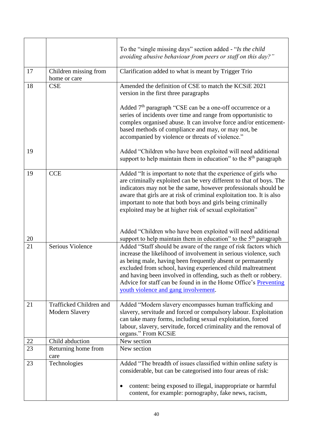|    |                                           | To the "single missing days" section added - "Is the child"<br>avoiding abusive behaviour from peers or staff on this day?"                                                                                                                                                                                                                                                                                                                       |
|----|-------------------------------------------|---------------------------------------------------------------------------------------------------------------------------------------------------------------------------------------------------------------------------------------------------------------------------------------------------------------------------------------------------------------------------------------------------------------------------------------------------|
| 17 | Children missing from<br>home or care     | Clarification added to what is meant by Trigger Trio                                                                                                                                                                                                                                                                                                                                                                                              |
| 18 | <b>CSE</b>                                | Amended the definition of CSE to match the KCSiE 2021<br>version in the first three paragraphs                                                                                                                                                                                                                                                                                                                                                    |
|    |                                           | Added $7th$ paragraph "CSE can be a one-off occurrence or a<br>series of incidents over time and range from opportunistic to<br>complex organised abuse. It can involve force and/or enticement-<br>based methods of compliance and may, or may not, be<br>accompanied by violence or threats of violence."                                                                                                                                       |
| 19 |                                           | Added "Children who have been exploited will need additional<br>support to help maintain them in education" to the $8th$ paragraph                                                                                                                                                                                                                                                                                                                |
| 19 | <b>CCE</b>                                | Added "It is important to note that the experience of girls who<br>are criminally exploited can be very different to that of boys. The<br>indicators may not be the same, however professionals should be<br>aware that girls are at risk of criminal exploitation too. It is also<br>important to note that both boys and girls being criminally<br>exploited may be at higher risk of sexual exploitation"                                      |
| 20 |                                           | Added "Children who have been exploited will need additional<br>support to help maintain them in education" to the 5 <sup>th</sup> paragraph                                                                                                                                                                                                                                                                                                      |
| 21 | Serious Violence                          | Added "Staff should be aware of the range of risk factors which<br>increase the likelihood of involvement in serious violence, such<br>as being male, having been frequently absent or permanently<br>excluded from school, having experienced child maltreatment<br>and having been involved in offending, such as theft or robbery.<br>Advice for staff can be found in in the Home Office's Preventing<br>youth violence and gang involvement. |
| 21 | Trafficked Children and<br>Modern Slavery | Added "Modern slavery encompasses human trafficking and<br>slavery, servitude and forced or compulsory labour. Exploitation<br>can take many forms, including sexual exploitation, forced<br>labour, slavery, servitude, forced criminality and the removal of<br>organs." From KCSiE                                                                                                                                                             |
| 22 | Child abduction                           | New section                                                                                                                                                                                                                                                                                                                                                                                                                                       |
| 23 | Returning home from<br>care               | New section                                                                                                                                                                                                                                                                                                                                                                                                                                       |
| 23 | Technologies                              | Added "The breadth of issues classified within online safety is<br>considerable, but can be categorised into four areas of risk:<br>content: being exposed to illegal, inappropriate or harmful                                                                                                                                                                                                                                                   |
|    |                                           | content, for example: pornography, fake news, racism,                                                                                                                                                                                                                                                                                                                                                                                             |